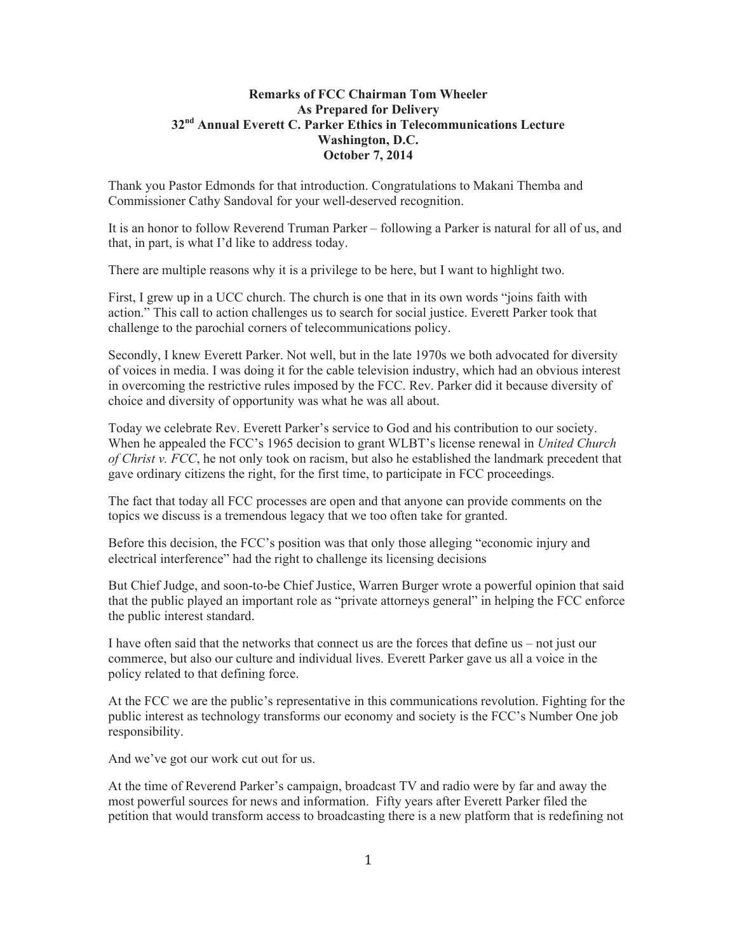## **Remarks of FCC Chairman Tom Wheeler As Prepared for Delivery 32nd Annual Everett C. Parker Ethics in Telecommunications Lecture Washington, D.C. October 7, 2014**

Thank you Pastor Edmonds for that introduction. Congratulations to Makani Themba and Commissioner Cathy Sandoval for your well-deserved recognition.

It is an honor to follow Reverend Truman Parker – following a Parker is natural for all of us, and that, in part, is what I'd like to address today.

There are multiple reasons why it is a privilege to be here, but I want to highlight two.

First, I grew up in a UCC church. The church is one that in its own words "joins faith with action." This call to action challenges us to search for social justice. Everett Parker took that challenge to the parochial corners of telecommunications policy.

Secondly, I knew Everett Parker. Not well, but in the late 1970s we both advocated for diversity of voices in media. I was doing it for the cable television industry, which had an obvious interest in overcoming the restrictive rules imposed by the FCC. Rev. Parker did it because diversity of choice and diversity of opportunity was what he was all about.

Today we celebrate Rev. Everett Parker's service to God and his contribution to our society. When he appealed the FCC's 1965 decision to grant WLBT's license renewal in *United Church of Christ v. FCC*, he not only took on racism, but also he established the landmark precedent that gave ordinary citizens the right, for the first time, to participate in FCC proceedings.

The fact that today all FCC processes are open and that anyone can provide comments on the topics we discuss is a tremendous legacy that we too often take for granted.

Before this decision, the FCC's position was that only those alleging "economic injury and electrical interference" had the right to challenge its licensing decisions

But Chief Judge, and soon-to-be Chief Justice, Warren Burger wrote a powerful opinion that said that the public played an important role as "private attorneys general" in helping the FCC enforce the public interest standard.

I have often said that the networks that connect us are the forces that define us – not just our commerce, but also our culture and individual lives. Everett Parker gave us all a voice in the policy related to that defining force.

At the FCC we are the public's representative in this communications revolution. Fighting for the public interest as technology transforms our economy and society is the FCC's Number One job responsibility.

And we've got our work cut out for us.

At the time of Reverend Parker's campaign, broadcast TV and radio were by far and away the most powerful sources for news and information. Fifty years after Everett Parker filed the petition that would transform access to broadcasting there is a new platform that is redefining not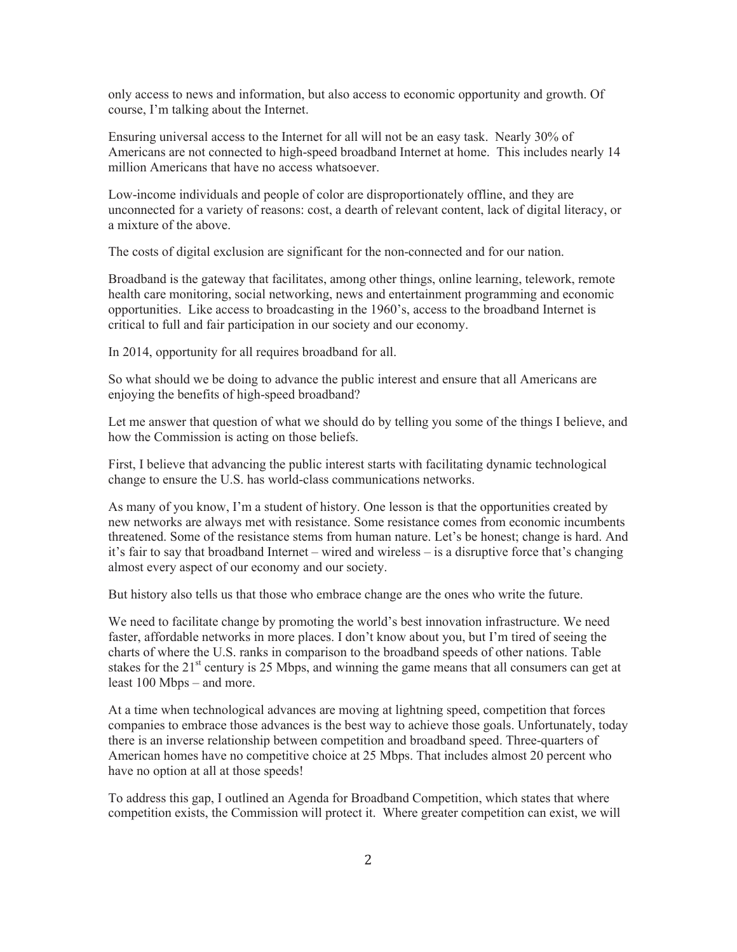only access to news and information, but also access to economic opportunity and growth. Of course, I'm talking about the Internet.

Ensuring universal access to the Internet for all will not be an easy task. Nearly 30% of Americans are not connected to high-speed broadband Internet at home. This includes nearly 14 million Americans that have no access whatsoever.

Low-income individuals and people of color are disproportionately offline, and they are unconnected for a variety of reasons: cost, a dearth of relevant content, lack of digital literacy, or a mixture of the above.

The costs of digital exclusion are significant for the non-connected and for our nation.

Broadband is the gateway that facilitates, among other things, online learning, telework, remote health care monitoring, social networking, news and entertainment programming and economic opportunities. Like access to broadcasting in the 1960's, access to the broadband Internet is critical to full and fair participation in our society and our economy.

In 2014, opportunity for all requires broadband for all.

So what should we be doing to advance the public interest and ensure that all Americans are enjoying the benefits of high-speed broadband?

Let me answer that question of what we should do by telling you some of the things I believe, and how the Commission is acting on those beliefs.

First, I believe that advancing the public interest starts with facilitating dynamic technological change to ensure the U.S. has world-class communications networks.

As many of you know, I'm a student of history. One lesson is that the opportunities created by new networks are always met with resistance. Some resistance comes from economic incumbents threatened. Some of the resistance stems from human nature. Let's be honest; change is hard. And it's fair to say that broadband Internet – wired and wireless – is a disruptive force that's changing almost every aspect of our economy and our society.

But history also tells us that those who embrace change are the ones who write the future.

We need to facilitate change by promoting the world's best innovation infrastructure. We need faster, affordable networks in more places. I don't know about you, but I'm tired of seeing the charts of where the U.S. ranks in comparison to the broadband speeds of other nations. Table stakes for the 21<sup>st</sup> century is 25 Mbps, and winning the game means that all consumers can get at least 100 Mbps – and more.

At a time when technological advances are moving at lightning speed, competition that forces companies to embrace those advances is the best way to achieve those goals. Unfortunately, today there is an inverse relationship between competition and broadband speed. Three-quarters of American homes have no competitive choice at 25 Mbps. That includes almost 20 percent who have no option at all at those speeds!

To address this gap, I outlined an Agenda for Broadband Competition, which states that where competition exists, the Commission will protect it. Where greater competition can exist, we will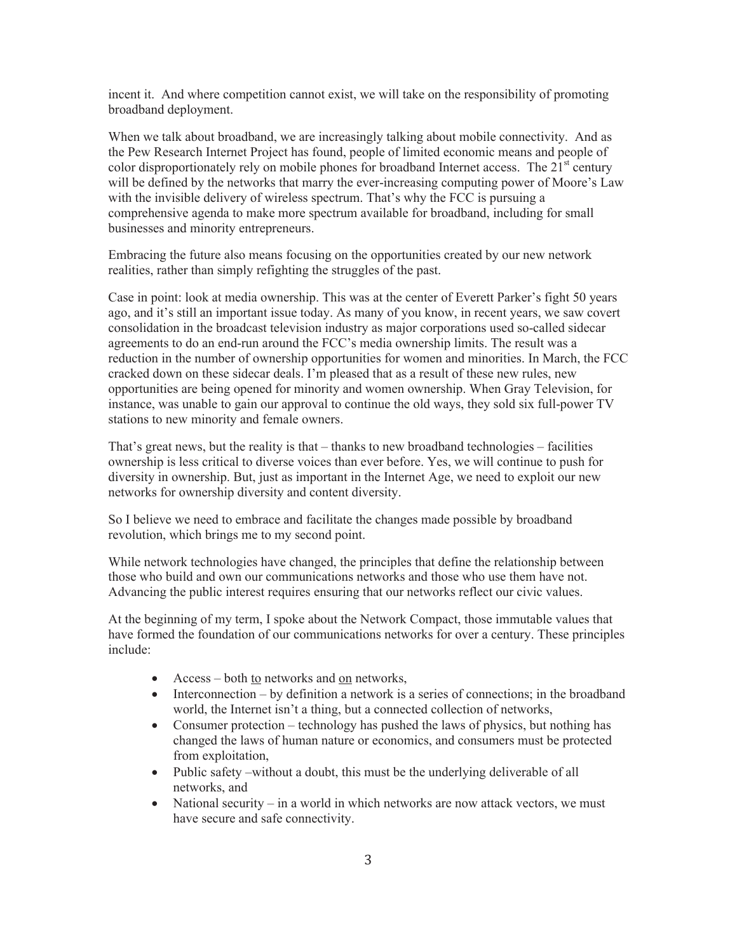incent it. And where competition cannot exist, we will take on the responsibility of promoting broadband deployment.

When we talk about broadband, we are increasingly talking about mobile connectivity. And as the Pew Research Internet Project has found, people of limited economic means and people of color disproportionately rely on mobile phones for broadband Internet access. The  $21<sup>st</sup>$  century will be defined by the networks that marry the ever-increasing computing power of Moore's Law with the invisible delivery of wireless spectrum. That's why the FCC is pursuing a comprehensive agenda to make more spectrum available for broadband, including for small businesses and minority entrepreneurs.

Embracing the future also means focusing on the opportunities created by our new network realities, rather than simply refighting the struggles of the past.

Case in point: look at media ownership. This was at the center of Everett Parker's fight 50 years ago, and it's still an important issue today. As many of you know, in recent years, we saw covert consolidation in the broadcast television industry as major corporations used so-called sidecar agreements to do an end-run around the FCC's media ownership limits. The result was a reduction in the number of ownership opportunities for women and minorities. In March, the FCC cracked down on these sidecar deals. I'm pleased that as a result of these new rules, new opportunities are being opened for minority and women ownership. When Gray Television, for instance, was unable to gain our approval to continue the old ways, they sold six full-power TV stations to new minority and female owners.

That's great news, but the reality is that – thanks to new broadband technologies – facilities ownership is less critical to diverse voices than ever before. Yes, we will continue to push for diversity in ownership. But, just as important in the Internet Age, we need to exploit our new networks for ownership diversity and content diversity.

So I believe we need to embrace and facilitate the changes made possible by broadband revolution, which brings me to my second point.

While network technologies have changed, the principles that define the relationship between those who build and own our communications networks and those who use them have not. Advancing the public interest requires ensuring that our networks reflect our civic values.

At the beginning of my term, I spoke about the Network Compact, those immutable values that have formed the foundation of our communications networks for over a century. These principles include:

- Access both <u>to</u> networks and <u>on</u> networks,
- Interconnection by definition a network is a series of connections; in the broadband world, the Internet isn't a thing, but a connected collection of networks,
- Consumer protection technology has pushed the laws of physics, but nothing has changed the laws of human nature or economics, and consumers must be protected from exploitation,
- Public safety –without a doubt, this must be the underlying deliverable of all networks, and
- National security in a world in which networks are now attack vectors, we must have secure and safe connectivity.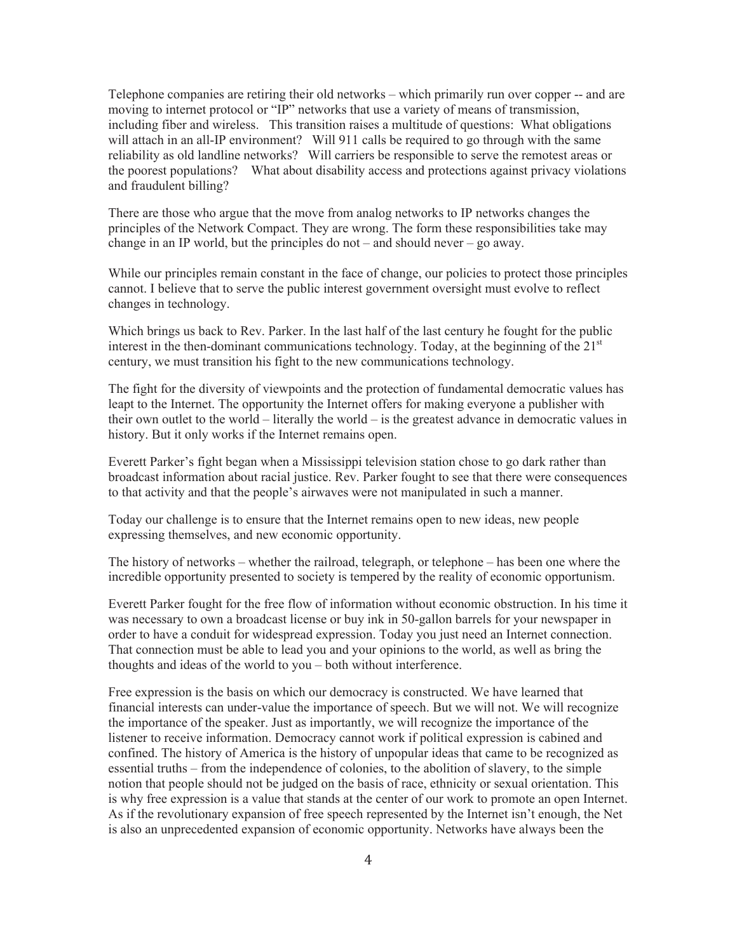Telephone companies are retiring their old networks – which primarily run over copper -- and are moving to internet protocol or "IP" networks that use a variety of means of transmission, including fiber and wireless. This transition raises a multitude of questions: What obligations will attach in an all-IP environment? Will 911 calls be required to go through with the same reliability as old landline networks? Will carriers be responsible to serve the remotest areas or the poorest populations? What about disability access and protections against privacy violations and fraudulent billing?

There are those who argue that the move from analog networks to IP networks changes the principles of the Network Compact. They are wrong. The form these responsibilities take may change in an IP world, but the principles do not – and should never – go away.

While our principles remain constant in the face of change, our policies to protect those principles cannot. I believe that to serve the public interest government oversight must evolve to reflect changes in technology.

Which brings us back to Rev. Parker. In the last half of the last century he fought for the public interest in the then-dominant communications technology. Today, at the beginning of the  $21<sup>st</sup>$ century, we must transition his fight to the new communications technology.

The fight for the diversity of viewpoints and the protection of fundamental democratic values has leapt to the Internet. The opportunity the Internet offers for making everyone a publisher with their own outlet to the world – literally the world – is the greatest advance in democratic values in history. But it only works if the Internet remains open.

Everett Parker's fight began when a Mississippi television station chose to go dark rather than broadcast information about racial justice. Rev. Parker fought to see that there were consequences to that activity and that the people's airwaves were not manipulated in such a manner.

Today our challenge is to ensure that the Internet remains open to new ideas, new people expressing themselves, and new economic opportunity.

The history of networks – whether the railroad, telegraph, or telephone – has been one where the incredible opportunity presented to society is tempered by the reality of economic opportunism.

Everett Parker fought for the free flow of information without economic obstruction. In his time it was necessary to own a broadcast license or buy ink in 50-gallon barrels for your newspaper in order to have a conduit for widespread expression. Today you just need an Internet connection. That connection must be able to lead you and your opinions to the world, as well as bring the thoughts and ideas of the world to you – both without interference.

Free expression is the basis on which our democracy is constructed. We have learned that financial interests can under-value the importance of speech. But we will not. We will recognize the importance of the speaker. Just as importantly, we will recognize the importance of the listener to receive information. Democracy cannot work if political expression is cabined and confined. The history of America is the history of unpopular ideas that came to be recognized as essential truths – from the independence of colonies, to the abolition of slavery, to the simple notion that people should not be judged on the basis of race, ethnicity or sexual orientation. This is why free expression is a value that stands at the center of our work to promote an open Internet. As if the revolutionary expansion of free speech represented by the Internet isn't enough, the Net is also an unprecedented expansion of economic opportunity. Networks have always been the